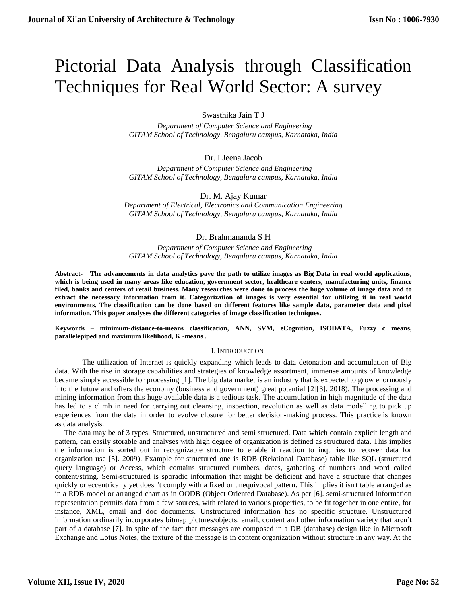# Pictorial Data Analysis through Classification Techniques for Real World Sector: A survey

Swasthika Jain T J

 *Department of Computer Science and Engineering GITAM School of Technology, Bengaluru campus, Karnataka, India*

Dr. I Jeena Jacob

 *Department of Computer Science and Engineering GITAM School of Technology, Bengaluru campus, Karnataka, India*

Dr. M. Ajay Kumar *Department of Electrical, Electronics and Communication Engineering GITAM School of Technology, Bengaluru campus, Karnataka, India*

Dr. Brahmananda S H

*Department of Computer Science and Engineering GITAM School of Technology, Bengaluru campus, Karnataka, India*

**Abstract- The advancements in data analytics pave the path to utilize images as Big Data in real world applications, which is being used in many areas like education, government sector, healthcare centers, manufacturing units, finance filed, banks and centers of retail business. Many researches were done to process the huge volume of image data and to extract the necessary information from it. Categorization of images is very essential for utilizing it in real world environments. The classification can be done based on different features like sample data, parameter data and pixel information. This paper analyses the different categories of image classification techniques.**

**Keywords – minimum-distance-to-means classification, ANN, SVM, eCognition, ISODATA, Fuzzy c means, parallelepiped and maximum likelihood, K -means .**

## I. INTRODUCTION

The utilization of Internet is quickly expanding which leads to data detonation and accumulation of Big data. With the rise in storage capabilities and strategies of knowledge assortment, immense amounts of knowledge became simply accessible for processing [1]. The big data market is an industry that is expected to grow enormously into the future and offers the economy (business and government) great potential [2][3]. 2018). The processing and mining information from this huge available data is a tedious task. The accumulation in high magnitude of the data has led to a climb in need for carrying out cleansing, inspection, revolution as well as data modelling to pick up experiences from the data in order to evolve closure for better decision-making process. This practice is known as data analysis.

The data may be of 3 types, Structured, unstructured and semi structured. Data which contain explicit length and pattern, can easily storable and analyses with high degree of organization is defined as structured data. This implies the information is sorted out in recognizable structure to enable it reaction to inquiries to recover data for organization use [5]. 2009). Example for structured one is RDB (Relational Database) table like SQL (structured query language) or Access, which contains structured numbers, dates, gathering of numbers and word called content/string. Semi-structured is sporadic information that might be deficient and have a structure that changes quickly or eccentrically yet doesn't comply with a fixed or unequivocal pattern. This implies it isn't table arranged as in a RDB model or arranged chart as in OODB (Object Oriented Database). As per [6]. semi-structured information representation permits data from a few sources, with related to various properties, to be fit together in one entire, for instance, XML, email and doc documents. Unstructured information has no specific structure. Unstructured information ordinarily incorporates bitmap pictures/objects, email, content and other information variety that aren't part of a database [7]. In spite of the fact that messages are composed in a DB (database) design like in Microsoft Exchange and Lotus Notes, the texture of the message is in content organization without structure in any way. At the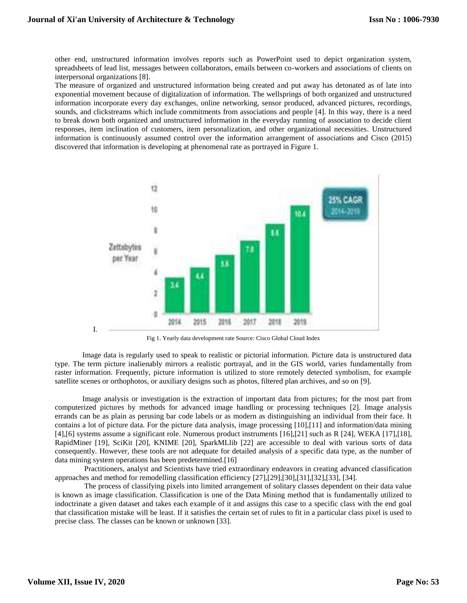other end, unstructured information involves reports such as PowerPoint used to depict organization system, spreadsheets of lead list, messages between collaborators, emails between co-workers and associations of clients on interpersonal organizations [8].

The measure of organized and unstructured information being created and put away has detonated as of late into exponential movement because of digitalization of information. The wellsprings of both organized and unstructured information incorporate every day exchanges, online networking, sensor produced, advanced pictures, recordings, sounds, and clickstreams which include commitments from associations and people [4]. In this way, there is a need to break down both organized and unstructured information in the everyday running of association to decide client responses, item inclination of customers, item personalization, and other organizational necessities. Unstructured information is continuously assumed control over the information arrangement of associations and Cisco (2015) discovered that information is developing at phenomenal rate as portrayed in Figure 1.



Fig 1. Yearly data development rate Source: Cisco Global Cloud Index

Image data is regularly used to speak to realistic or pictorial information. Picture data is unstructured data type. The term picture inalienably mirrors a realistic portrayal, and in the GIS world, varies fundamentally from raster information. Frequently, picture information is utilized to store remotely detected symbolism, for example satellite scenes or orthophotos, or auxiliary designs such as photos, filtered plan archives, and so on [9].

Image analysis or investigation is the extraction of important data from pictures; for the most part from computerized pictures by methods for advanced image handling or processing techniques [2]. Image analysis errands can be as plain as perusing bar code labels or as modern as distinguishing an individual from their face. It contains a lot of picture data. For the picture data analysis, image processing [10],[11] and information/data mining [4],[6] systems assume a significant role. Numerous product instruments [16],[21] such as R [24], WEKA [17],[18], RapidMiner [19], SciKit [20], KNIME [20], SparkMLlib [22] are accessible to deal with various sorts of data consequently. However, these tools are not adequate for detailed analysis of a specific data type, as the number of data mining system operations has been predetermined.[16]

Practitioners, analyst and Scientists have tried extraordinary endeavors in creating advanced classification approaches and method for remodelling classification efficiency [27],[29],[30],[31],[32],[33], [34].

The process of classifying pixels into limited arrangement of solitary classes dependent on their data value is known as image classification. Classification is one of the Data Mining method that is fundamentally utilized to indoctrinate a given dataset and takes each example of it and assigns this case to a specific class with the end goal that classification mistake will be least. If it satisfies the certain set of rules to fit in a particular class pixel is used to precise class. The classes can be known or unknown [33].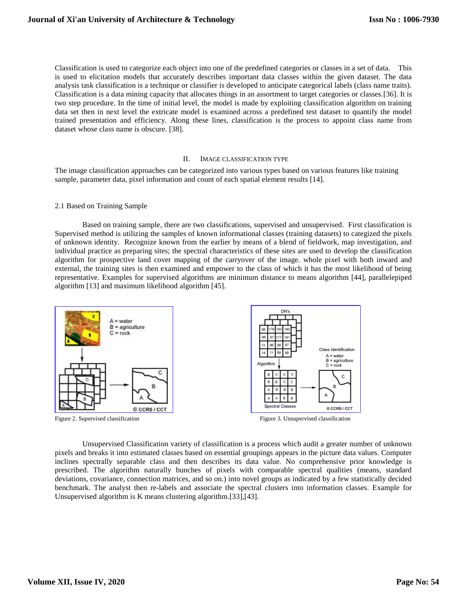Classification is used to categorize each object into one of the predefined categories or classes in a set of data. This is used to elicitation models that accurately describes important data classes within the given dataset. The data analysis task classification is a technique or classifier is developed to anticipate categorical labels (class name traits). Classification is a data mining capacity that allocates things in an assortment to target categories or classes.[36]. It is two step procedure. In the time of initial level, the model is made by exploiting classification algorithm on training data set then in next level the extricate model is examined across a predefined test dataset to quantify the model trained presentation and efficiency. Along these lines, classification is the process to appoint class name from dataset whose class name is obscure. [38].

#### II. IMAGE CLASSIFICATION TYPE

The image classification approaches can be categorized into various types based on various features like training sample, parameter data, pixel information and count of each spatial element results [14].

#### 2.1 Based on Training Sample

Based on training sample, there are two classifications, supervised and unsupervised. First classification is Supervised method is utilizing the samples of known informational classes (training datasets) to categized the pixels of unknown identity. Recognize known from the earlier by means of a blend of fieldwork, map investigation, and individual practice as preparing sites; the spectral characteristics of these sites are used to develop the classification algorithm for prospective land cover mapping of the carryover of the image. whole pixel with both inward and external, the training sites is then examined and empower to the class of which it has the most likelihood of being representative. Examples for supervised algorithms are minimum distance to means algorithm [44], parallelepiped algorithm [13] and maximum likelihood algorithm [45].



Unsupervised Classification variety of classification is a process which audit a greater number of unknown pixels and breaks it into estimated classes based on essential groupings appears in the picture data values. Computer inclines spectrally separable class and then describes its data value. No comprehensive prior knowledge is prescribed. The algorithm naturally bunches of pixels with comparable spectral qualities (means, standard deviations, covariance, connection matrices, and so on.) into novel groups as indicated by a few statistically decided benchmark. The analyst then re-labels and associate the spectral clusters into information classes. Example for Unsupervised algorithm is K means clustering algorithm.[33],[43].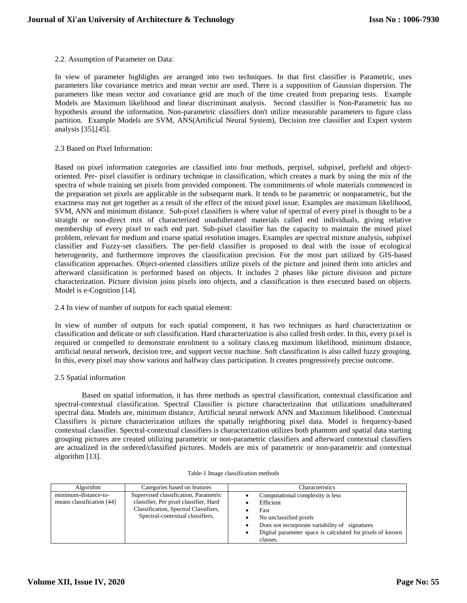# 2.2. Assumption of Parameter on Data:

In view of parameter highlights are arranged into two techniques. In that first classifier is Parametric, uses parameters like covariance metrics and mean vector are used. There is a supposition of Gaussian dispersion. The parameters like mean vector and covariance grid are much of the time created from preparing tests. Example Models are Maximum likelihood and linear discriminant analysis. Second classifier is Non-Parametric has no hypothesis around the information. Non-parametric classifiers don't utilize measurable parameters to figure class partition. Example Models are SVM, ANS(Artificial Neural System), Decision tree classifier and Expert system analysis [35],[45].

# 2.3 Based on Pixel Information:

Based on pixel information categories are classified into four methods, perpixel, subpixel, prefield and objectoriented. Per- pixel classifier is ordinary technique in classification, which creates a mark by using the mix of the spectra of whole training set pixels from provided component. The commitments of whole materials commenced in the preparation set pixels are applicable in the subsequent mark. It tends to be parametric or nonparametric, but the exactness may not get together as a result of the effect of the mixed pixel issue. Examples are maximum likelihood, SVM, ANN and minimum distance. Sub-pixel classifiers is where value of spectral of every pixel is thought to be a straight or non-direct mix of characterized unadulterated materials called end individuals, giving relative membership of every pixel to each end part. Sub-pixel classifier has the capacity to maintain the mixed pixel problem, relevant for medium and coarse spatial resolution images. Examples are spectral mixture analysis, subpixel classifier and Fuzzy-set classifiers. The per-field classifier is proposed to deal with the issue of ecological heterogeneity, and furthermore improves the classification precision. For the most part utilized by GIS-based classification approaches. Object-oriented classifiers utilize pixels of the picture and joined them into articles and afterward classification is performed based on objects. It includes 2 phases like picture division and picture characterization. Picture division joins pixels into objects, and a classification is then executed based on objects. Model is e-Cognition [14].

## 2.4 In view of number of outputs for each spatial element:

In view of number of outputs for each spatial component, it has two techniques as hard characterization or classification and delicate or soft classification. Hard characterization is also called fresh order. In this, every pixel is required or compelled to demonstrate enrolment to a solitary class.eg maximum likelihood, minimum distance, artificial neural network, decision tree, and support vector machine. Soft classification is also called fuzzy grouping. In this, every pixel may show various and halfway class participation. It creates progressively precise outcome.

## 2.5 Spatial information

Based on spatial information, it has three methods as spectral classification, contextual classification and spectral-contextual classification. Spectral Classifier is picture characterization that utilizations unadulterated spectral data. Models are, minimum distance, Artificial neural network ANN and Maximum likelihood. Contextual Classifiers is picture characterization utilizes the spatially neighboring pixel data. Model is frequency-based contextual classifier. Spectral-contextual classifiers is characterization utilizes both phantom and spatial data starting grouping pictures are created utilizing parametric or non-parametric classifiers and afterward contextual classifiers are actualized in the ordered/classified pictures. Models are mix of parametric or non-parametric and contextual algorithm [13].

| Algorithm                                         | Categories based on features                                                                                                                                 | Characteristics                                                                                                                                                                                            |
|---------------------------------------------------|--------------------------------------------------------------------------------------------------------------------------------------------------------------|------------------------------------------------------------------------------------------------------------------------------------------------------------------------------------------------------------|
| minimum-distance-to-<br>means classification [44] | Supervised classification, Parametric<br>classifier, Per pixel classifier, Hard<br>Classification, Spectral Classifiers,<br>Spectral-contextual classifiers, | Computational complexity is less<br>Efficient<br>Fast<br>No unclassified pixels<br>Does not incorporate variability of signatures<br>Digital parameter space is calculated for pixels of known<br>classes. |

#### Table-1 Image classification methods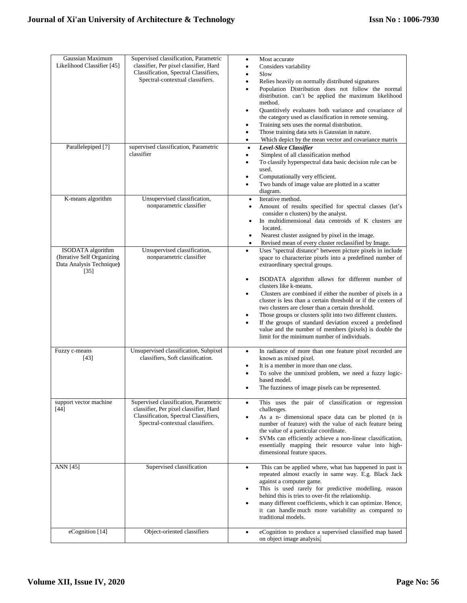| Gaussian Maximum<br>Likelihood Classifier [45]                                             | Supervised classification, Parametric<br>classifier, Per pixel classifier, Hard<br>Classification, Spectral Classifiers,<br>Spectral-contextual classifiers. | Most accurate<br>٠<br>Considers variability<br>$\bullet$<br>Slow<br>$\bullet$<br>Relies heavily on normally distributed signatures<br>$\bullet$<br>Population Distribution does not follow the normal                                                                                                                                                                                                                                                                                                                                                                                                                                                                                                                          |
|--------------------------------------------------------------------------------------------|--------------------------------------------------------------------------------------------------------------------------------------------------------------|--------------------------------------------------------------------------------------------------------------------------------------------------------------------------------------------------------------------------------------------------------------------------------------------------------------------------------------------------------------------------------------------------------------------------------------------------------------------------------------------------------------------------------------------------------------------------------------------------------------------------------------------------------------------------------------------------------------------------------|
|                                                                                            |                                                                                                                                                              | distribution. can't be applied the maximum likelihood<br>method.<br>Quantitively evaluates both variance and covariance of<br>$\bullet$<br>the category used as classification in remote sensing.<br>Training sets uses the normal distribution.<br>$\bullet$<br>Those training data sets is Gaussian in nature.<br>$\bullet$                                                                                                                                                                                                                                                                                                                                                                                                  |
| Parallelepiped [7]                                                                         | supervised classification, Parametric<br>classifier                                                                                                          | Which depict by the mean vector and covariance matrix<br>$\bullet$<br>Level-Slice Classifier<br>$\bullet$<br>Simplest of all classification method<br>$\bullet$<br>To classify hyperspectral data basic decision rule can be<br>$\bullet$<br>used.<br>Computationally very efficient.<br>٠<br>Two bands of image value are plotted in a scatter<br>$\bullet$<br>diagram.                                                                                                                                                                                                                                                                                                                                                       |
| K-means algorithm                                                                          | Unsupervised classification,<br>nonparametric classifier                                                                                                     | Iterative method.<br>Amount of results specified for spectral classes (let's<br>٠<br>consider n clusters) by the analyst.<br>In multidimensional data centroids of K clusters are<br>٠<br>located.<br>Nearest cluster assigned by pixel in the image.<br>٠<br>Revised mean of every cluster reclassified by Image.<br>$\bullet$                                                                                                                                                                                                                                                                                                                                                                                                |
| <b>ISODATA</b> algorithm<br>(Iterative Self Organizing<br>Data Analysis Technique)<br>[35] | Unsupervised classification,<br>nonparametric classifier                                                                                                     | Uses "spectral distance" between picture pixels in include<br>$\bullet$<br>space to characterize pixels into a predefined number of<br>extraordinary spectral groups.<br>ISODATA algorithm allows for different number of<br>$\bullet$<br>clusters like k-means.<br>Clusters are combined if either the number of pixels in a<br>$\bullet$<br>cluster is less than a certain threshold or if the centers of<br>two clusters are closer than a certain threshold.<br>Those groups or clusters split into two different clusters.<br>$\bullet$<br>If the groups of standard deviation exceed a predefined<br>$\bullet$<br>value and the number of members (pixels) is double the<br>limit for the minimum number of individuals. |
| Fuzzy c-means<br>[43]                                                                      | Unsupervised classification, Subpixel<br>classifiers, Soft classification.                                                                                   | In radiance of more than one feature pixel recorded are<br>$\bullet$<br>known as mixed pixel.<br>It is a member in more than one class.<br>$\bullet$<br>To solve the unmixed problem, we need a fuzzy logic-<br>$\bullet$<br>based model.<br>The fuzziness of image pixels can be represented.<br>$\bullet$                                                                                                                                                                                                                                                                                                                                                                                                                    |
| support vector machine<br>$[44]$                                                           | Supervised classification, Parametric<br>classifier, Per pixel classifier, Hard<br>Classification, Spectral Classifiers,<br>Spectral-contextual classifiers. | This uses the pair of classification or regression<br>$\bullet$<br>challenges.<br>As a n- dimensional space data can be plotted (n is<br>$\bullet$<br>number of feature) with the value of each feature being<br>the value of a particular coordinate.<br>SVMs can efficiently achieve a non-linear classification,<br>$\bullet$<br>essentially mapping their resource value into high-<br>dimensional feature spaces.                                                                                                                                                                                                                                                                                                         |
| ANN [45]                                                                                   | Supervised classification                                                                                                                                    | This can be applied where, what has happened in past is<br>$\bullet$<br>repeated almost exactly in same way. E.g. Black Jack<br>against a computer game.<br>This is used rarely for predictive modelling. reason<br>$\bullet$<br>behind this is tries to over-fit the relationship.<br>many different coefficients, which it can optimize. Hence,<br>$\bullet$<br>it can handle much more variability as compared to<br>traditional models.                                                                                                                                                                                                                                                                                    |
| eCognition [14]                                                                            | Object-oriented classifiers                                                                                                                                  | eCognition to produce a supervised classified map based<br>$\bullet$<br>on object image analysis.                                                                                                                                                                                                                                                                                                                                                                                                                                                                                                                                                                                                                              |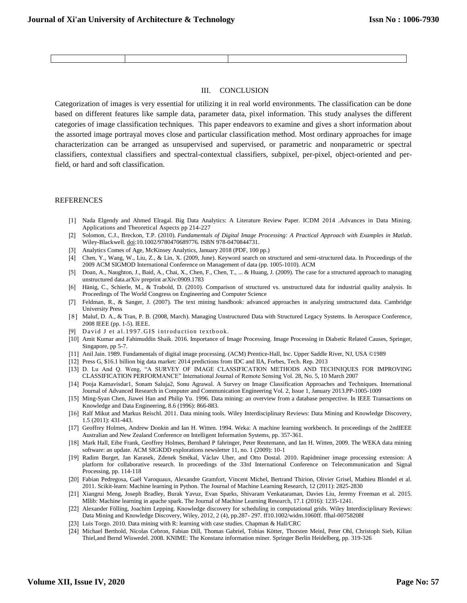#### III. CONCLUSION

Categorization of images is very essential for utilizing it in real world environments. The classification can be done based on different features like sample data, parameter data, pixel information. This study analyses the different categories of image classification techniques. This paper endeavors to examine and gives a short information about the assorted image portrayal moves close and particular classification method. Most ordinary approaches for image characterization can be arranged as unsupervised and supervised, or parametric and nonparametric or spectral classifiers, contextual classifiers and spectral-contextual classifiers, subpixel, per-pixel, object-oriented and perfield, or hard and soft classification.

#### REFERENCES

- [1] Nada Elgendy and Ahmed Elragal. Big Data Analytics: A Literature Review Paper. ICDM 2014 [.Advances in Data Mining.](https://link.springer.com/book/10.1007/978-3-319-08976-8)  [Applications and Theoretical Aspects](https://link.springer.com/book/10.1007/978-3-319-08976-8) pp 214-227
- [2] Solomon, C.J., Breckon, T.P. (2010). *Fundamentals of Digital Image Processing: A Practical Approach with Examples in Matlab*. Wiley-Blackwell. [doi](https://en.wikipedia.org/wiki/Digital_object_identifier)[:10.1002/9780470689776.](https://doi.org/10.1002%2F9780470689776) [ISBN](https://en.wikipedia.org/wiki/International_Standard_Book_Number) [978-0470844731.](https://en.wikipedia.org/wiki/Special:BookSources/978-0470844731)
- [3] [Analytics Comes of Age,](https://www.mckinsey.com/~/media/McKinsey/Business%20Functions/McKinsey%20Analytics/Our%20Insights/Analytics%20comes%20of%20age/Analytics-comes-of-age.ashx) McKinsey Analytics, January 2018 (PDF, 100 pp.)
- [4] Chen, Y., Wang, W., Liu, Z., & Lin, X. (2009, June). Keyword search on structured and semi-structured data. In Proceedings of the 2009 ACM SIGMOD International Conference on Management of data (pp. 1005-1010). ACM
- [5] Doan, A., Naughton, J., Baid, A., Chai, X., Chen, F., Chen, T., ... & Huang, J. (2009). The case for a structured approach to managing unstructured data.arXiv preprint arXiv:0909.1783
- [6] Hänig, C., Schierle, M., & Trabold, D. (2010). Comparison of structured vs. unstructured data for industrial quality analysis. In Proceedings of The World Congress on Engineering and Computer Science
- [7] Feldman, R., & Sanger, J. (2007). The text mining handbook: advanced approaches in analyzing unstructured data. Cambridge University Press
- [ 8 ] Maluf, D. A., & Tran, P. B. (2008, March). Managing Unstructured Data with Structured Legacy Systems. In Aerospace Conference, 2008 IEEE (pp. 1-5). IEEE.
- [9] David J et al. 1997. GIS introduction textbook.
- [10] Amit Kumar and Fahimuddin Shaik. 2016. Importance of Image Processing. Image Processing in Diabetic Related Causes, Springer, Singapore, pp 5-7.
- [11] Anil Jain. 1989. Fundamentals of digital image processing. (ACM) Prentice-Hall, Inc. Upper Saddle River, NJ, USA ©1989
- [12] Press G, \$16.1 billion big data market: 2014 predictions from IDC and IIA, Forbes, Tech. Rep. 2013
- [13] D. Lu And Q. Weng, "A SURVEY OF IMAGE CLASSIFICATION METHODS AND TECHNIQUES FOR IMPROVING CLASSIFICATION PERFORMANCE" International Journal of Remote Sensing Vol. 28, No. 5, 10 March 2007
- [14] Pooja Kamavisdar1, Sonam Saluja2, Sonu Agrawal. A Survey on Image Classification Approaches and Techniques. International Journal of Advanced Research in Computer and Communication Engineering Vol. 2, Issue 1, January 2013.PP-1005-1009
- [15] Ming-Syan Chen, Jiawei Han and Philip Yu. 1996. Data mining: an overview from a database perspective. In IEEE Transactions on Knowledge and Data Engineering, 8.6 (1996): 866-883.
- [16] Ralf Mikut and Markus Reischl. 2011. Data mining tools. Wiley Interdisciplinary Reviews: Data Mining and Knowledge Discovery, 1.5 (2011): 431-443.
- [17] Geoffrey Holmes, Andrew Donkin and Ian H. Witten. 1994. Weka: A machine learning workbench. In proceedings of the 2ndIEEE Australian and New Zealand Conference on Intelligent Information Systems, pp. 357-361.
- [18] Mark Hall, Eibe Frank, Geoffrey Holmes, Bernhard P fahringer, Peter Reutemann, and Ian H. Witten, 2009. The WEKA data mining software: an update. ACM SIGKDD explorations newsletter 11, no. 1 (2009): 10-1
- [19] Radim Burget, Jan Karasek, Zdenek Smékal, Václav Uher, and Otto Dostal. 2010. Rapidminer image processing extension: A platform for collaborative research. In proceedings of the 33rd International Conference on Telecommunication and Signal Processing, pp. 114-118
- [20] Fabian Pedregosa, Gaël Varoquaux, Alexandre Gramfort, Vincent Michel, Bertrand Thirion, Olivier Grisel, Mathieu Blondel et al. 2011. Scikit-learn: Machine learning in Python. The Journal of Machine Learning Research, 12 (2011): 2825-2830
- [21] Xiangrui Meng, Joseph Bradley, Burak Yavuz, Evan Sparks, Shivaram Venkataraman, Davies Liu, Jeremy Freeman et al. 2015. Mllib: Machine learning in apache spark. The Journal of Machine Learning Research, 17.1 (2016): 1235-1241.
- [22] Alexander Fölling, Joachim Lepping. Knowledge discovery for scheduling in computational grids. Wiley Interdisciplinary Reviews: Data Mining and Knowledge Discovery, Wiley, 2012, 2 (4), pp.287- 297. ff10.1002/widm.1060ff. ffhal-00758208f
- [23] Luis Torgo. 2010. Data mining with R: learning with case studies. Chapman & Hall/CRC
- [24] Michael Berthold, Nicolas Cebron, Fabian Dill, Thomas Gabriel, Tobias Kötter, Thorsten Meinl, Peter Ohl, Christoph Sieb, Kilian Thiel,and Bernd Wiswedel. 2008. KNIME: The Konstanz information miner. Springer Berlin Heidelberg, pp. 319-326